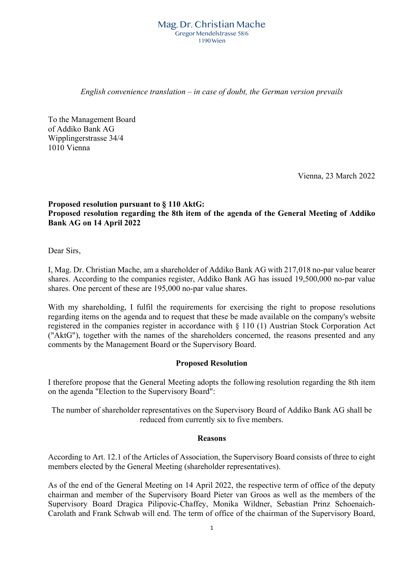#### Mag. Dr. Christian Mache Gregor Mendelstrasse 58/6 1190 Wien

*English convenience translation – in case of doubt, the German version prevails*

To the Management Board of Addiko Bank AG Wipplingerstrasse 34/4 1010 Vienna

Vienna, 23 March 2022

# **Proposed resolution pursuant to § 110 AktG: Proposed resolution regarding the 8th item of the agenda of the General Meeting of Addiko Bank AG on 14 April 2022**

Dear Sirs,

I, Mag. Dr. Christian Mache, am a shareholder of Addiko Bank AG with 217,018 no-par value bearer shares. According to the companies register, Addiko Bank AG has issued 19,500,000 no-par value shares. One percent of these are 195,000 no-par value shares.

With my shareholding, I fulfil the requirements for exercising the right to propose resolutions regarding items on the agenda and to request that these be made available on the company's website registered in the companies register in accordance with § 110 (1) Austrian Stock Corporation Act ("AktG"), together with the names of the shareholders concerned, the reasons presented and any comments by the Management Board or the Supervisory Board.

## **Proposed Resolution**

I therefore propose that the General Meeting adopts the following resolution regarding the 8th item on the agenda "Election to the Supervisory Board":

The number of shareholder representatives on the Supervisory Board of Addiko Bank AG shall be reduced from currently six to five members.

#### **Reasons**

According to Art. 12.1 of the Articles of Association, the Supervisory Board consists of three to eight members elected by the General Meeting (shareholder representatives).

As of the end of the General Meeting on 14 April 2022, the respective term of office of the deputy chairman and member of the Supervisory Board Pieter van Groos as well as the members of the Supervisory Board Dragica Pilipovic-Chaffey, Monika Wildner, Sebastian Prinz Schoenaich-Carolath and Frank Schwab will end. The term of office of the chairman of the Supervisory Board,